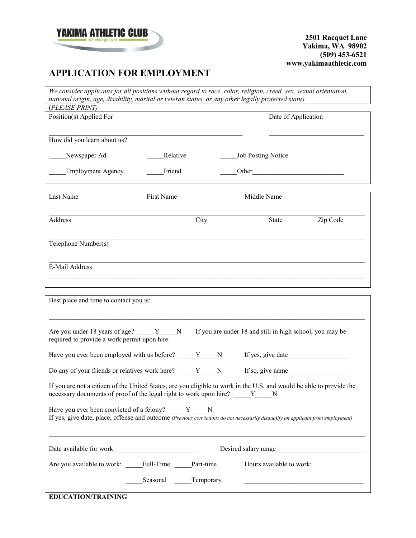

 $\mathbf{r}$ 

**2501 Racquet Lane Yakima, WA 98902 (509) 453-6521 www.yakimaathletic.com**

# **APPLICATION FOR EMPLOYMENT**

| We consider applicants for all positions without regard to race, color, religion, creed, sex, sexual orientation,<br>national origin, age, disability, marital or veteran status, or any other legally protected status. |                    |      |  |                                                          |                      |
|--------------------------------------------------------------------------------------------------------------------------------------------------------------------------------------------------------------------------|--------------------|------|--|----------------------------------------------------------|----------------------|
| (PLEASE PRINT)                                                                                                                                                                                                           |                    |      |  |                                                          |                      |
| Position(s) Applied For                                                                                                                                                                                                  |                    |      |  | Date of Application                                      |                      |
|                                                                                                                                                                                                                          |                    |      |  |                                                          |                      |
| How did you learn about us?                                                                                                                                                                                              |                    |      |  |                                                          |                      |
|                                                                                                                                                                                                                          |                    |      |  |                                                          |                      |
| Newspaper Ad                                                                                                                                                                                                             | Relative           |      |  | Job Posting Notice                                       |                      |
| <b>Employment Agency</b>                                                                                                                                                                                                 | Friend             |      |  | Other                                                    |                      |
|                                                                                                                                                                                                                          |                    |      |  |                                                          |                      |
| Last Name                                                                                                                                                                                                                | First Name         |      |  | Middle Name                                              |                      |
|                                                                                                                                                                                                                          |                    |      |  |                                                          |                      |
|                                                                                                                                                                                                                          |                    |      |  |                                                          |                      |
| Address                                                                                                                                                                                                                  |                    | City |  | <b>State</b>                                             | Zip Code             |
|                                                                                                                                                                                                                          |                    |      |  |                                                          |                      |
| Telephone Number(s)                                                                                                                                                                                                      |                    |      |  |                                                          |                      |
|                                                                                                                                                                                                                          |                    |      |  |                                                          |                      |
| E-Mail Address                                                                                                                                                                                                           |                    |      |  |                                                          |                      |
|                                                                                                                                                                                                                          |                    |      |  |                                                          |                      |
|                                                                                                                                                                                                                          |                    |      |  |                                                          |                      |
| Best place and time to contact you is:                                                                                                                                                                                   |                    |      |  |                                                          |                      |
|                                                                                                                                                                                                                          |                    |      |  |                                                          |                      |
|                                                                                                                                                                                                                          |                    |      |  |                                                          |                      |
| Are you under 18 years of age? Y                                                                                                                                                                                         | $\mathbf N$        |      |  | If you are under 18 and still in high school, you may be |                      |
| required to provide a work permit upon hire.                                                                                                                                                                             |                    |      |  |                                                          |                      |
| Have you ever been employed with us before? V N                                                                                                                                                                          |                    |      |  | If yes, give date                                        |                      |
|                                                                                                                                                                                                                          |                    |      |  |                                                          |                      |
| Do any of your friends or relatives work here? V N                                                                                                                                                                       |                    |      |  | If so, give name                                         |                      |
| If you are not a citizen of the United States, are you eligible to work in the U.S. and would be able to provide the                                                                                                     |                    |      |  |                                                          |                      |
| necessary documents of proof of the legal right to work upon hire? Y N                                                                                                                                                   |                    |      |  |                                                          |                      |
| Have you ever been convicted of a felony? Y N                                                                                                                                                                            |                    |      |  |                                                          |                      |
| If yes, give date, place, offense and outcome (Previous convictions do not necessarily disqualify an applicant from employment)                                                                                          |                    |      |  |                                                          |                      |
|                                                                                                                                                                                                                          |                    |      |  |                                                          |                      |
|                                                                                                                                                                                                                          |                    |      |  |                                                          |                      |
|                                                                                                                                                                                                                          |                    |      |  |                                                          | Desired salary range |
| Are you available to work: Full-Time Part-time                                                                                                                                                                           |                    |      |  | Hours available to work:                                 |                      |
|                                                                                                                                                                                                                          |                    |      |  |                                                          |                      |
|                                                                                                                                                                                                                          | Seasonal Temporary |      |  |                                                          |                      |
|                                                                                                                                                                                                                          |                    |      |  |                                                          |                      |

**EDUCATION/TRAINING**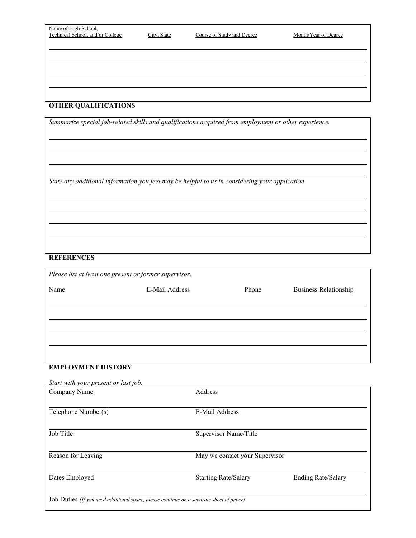| Name of High School,<br>Technical School, and/or College | City, State | Course of Study and Degree | Month/Year of Degree |
|----------------------------------------------------------|-------------|----------------------------|----------------------|
|                                                          |             |                            |                      |
|                                                          |             |                            |                      |

 $\overline{\phantom{0}}$ 

 $\overline{\phantom{0}}$ 

### **OTHER QUALIFICATIONS**

*Summarize special job-related skills and qualifications acquired from employment or other experience.*

*State any additional information you feel may be helpful to us in considering your application.*

#### **REFERENCES**

 $\overline{a}$ 

| E-Mail Address | Phone | <b>Business Relationship</b> |
|----------------|-------|------------------------------|
|                |       |                              |
|                |       |                              |
|                |       |                              |
|                |       |                              |
|                |       |                              |
|                |       |                              |
|                |       |                              |
|                |       |                              |

# **EMPLOYMENT HISTORY**

| Start with your present or last job.                                                    |                                |                           |  |
|-----------------------------------------------------------------------------------------|--------------------------------|---------------------------|--|
| Company Name                                                                            | Address                        |                           |  |
|                                                                                         |                                |                           |  |
| Telephone Number(s)                                                                     | <b>E-Mail Address</b>          |                           |  |
|                                                                                         |                                |                           |  |
| Job Title                                                                               | Supervisor Name/Title          |                           |  |
|                                                                                         |                                |                           |  |
| Reason for Leaving                                                                      | May we contact your Supervisor |                           |  |
|                                                                                         |                                |                           |  |
| Dates Employed                                                                          | <b>Starting Rate/Salary</b>    | <b>Ending Rate/Salary</b> |  |
|                                                                                         |                                |                           |  |
| Job Duties (If you need additional space, please continue on a separate sheet of paper) |                                |                           |  |
|                                                                                         |                                |                           |  |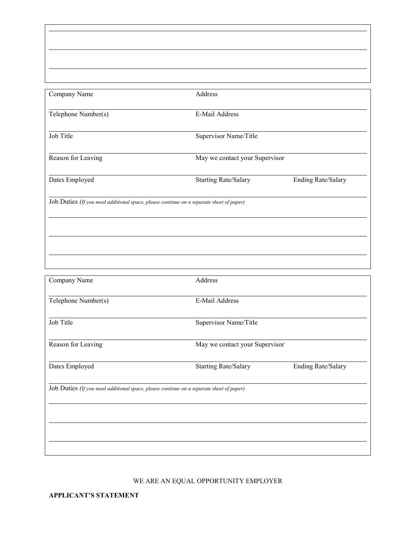| Company Name                                                                            | Address                        |                           |  |  |
|-----------------------------------------------------------------------------------------|--------------------------------|---------------------------|--|--|
| Telephone Number(s)                                                                     | E-Mail Address                 |                           |  |  |
| Job Title                                                                               | Supervisor Name/Title          |                           |  |  |
| Reason for Leaving                                                                      | May we contact your Supervisor |                           |  |  |
| Dates Employed                                                                          | <b>Starting Rate/Salary</b>    | <b>Ending Rate/Salary</b> |  |  |
| Job Duties (If you need additional space, please continue on a separate sheet of paper) |                                |                           |  |  |
|                                                                                         |                                |                           |  |  |
|                                                                                         |                                |                           |  |  |
|                                                                                         |                                |                           |  |  |

| Company Name                                                                            | Address                        |                    |  |  |
|-----------------------------------------------------------------------------------------|--------------------------------|--------------------|--|--|
|                                                                                         |                                |                    |  |  |
| Telephone Number(s)                                                                     | E-Mail Address                 |                    |  |  |
| Job Title                                                                               | Supervisor Name/Title          |                    |  |  |
| Reason for Leaving                                                                      | May we contact your Supervisor |                    |  |  |
| Dates Employed                                                                          | <b>Starting Rate/Salary</b>    | Ending Rate/Salary |  |  |
| Job Duties (If you need additional space, please continue on a separate sheet of paper) |                                |                    |  |  |
|                                                                                         |                                |                    |  |  |
|                                                                                         |                                |                    |  |  |
|                                                                                         |                                |                    |  |  |
|                                                                                         |                                |                    |  |  |

## WE ARE AN EQUAL OPPORTUNITY EMPLOYER

**APPLICANT'S STATEMENT**